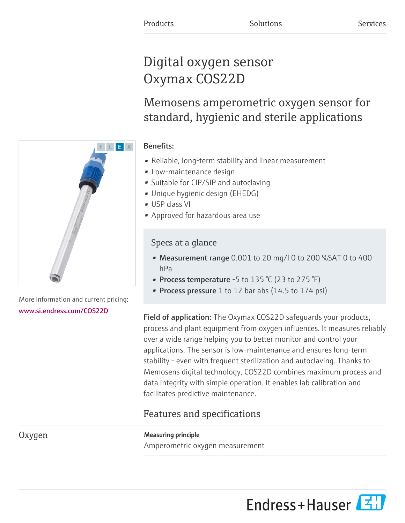# Digital oxygen sensor Oxymax COS22D

Memosens amperometric oxygen sensor for standard, hygienic and sterile applications

# Benefits:

- Reliable, long-term stability and linear measurement
- Low-maintenance design
- Suitable for CIP/SIP and autoclaving
- Unique hygienic design (EHEDG)
- USP class VI
- Approved for hazardous area use

# Specs at a glance

- Measurement range 0.001 to 20 mg/l 0 to 200 %SAT 0 to 400 hPa
- Process temperature -5 to 135 °C (23 to 275 °F)
- Process pressure 1 to 12 bar abs (14.5 to 174 psi)

Field of application: The Oxymax COS22D safeguards your products, process and plant equipment from oxygen influences. It measures reliably over a wide range helping you to better monitor and control your applications. The sensor is low-maintenance and ensures long-term stability - even with frequent sterilization and autoclaving. Thanks to Memosens digital technology, COS22D combines maximum process and data integrity with simple operation. It enables lab calibration and facilitates predictive maintenance.

# Features and specifications

Amperometric oxygen measurement



More information and current pricing: [www.si.endress.com/COS22D](https://www.si.endress.com/COS22D)

Oxygen Measuring principle

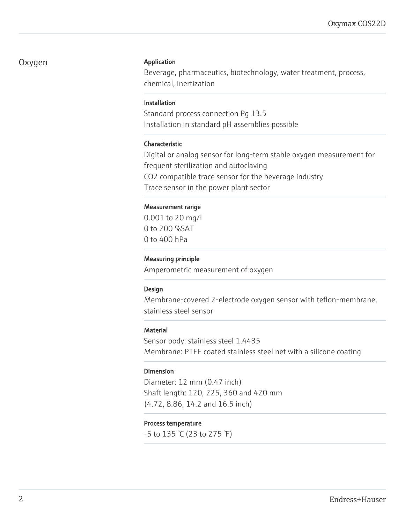## Oxygen Application

Beverage, pharmaceutics, biotechnology, water treatment, process, chemical, inertization

#### Installation

Standard process connection Pg 13.5 Installation in standard pH assemblies possible

#### Characteristic

Digital or analog sensor for long-term stable oxygen measurement for frequent sterilization and autoclaving CO2 compatible trace sensor for the beverage industry Trace sensor in the power plant sector

#### Measurement range

0.001 to 20 mg/l 0 to 200 %SAT 0 to 400 hPa

### Measuring principle

Amperometric measurement of oxygen

#### Design

Membrane-covered 2-electrode oxygen sensor with teflon-membrane, stainless steel sensor

#### **Material**

Sensor body: stainless steel 1.4435 Membrane: PTFE coated stainless steel net with a silicone coating

#### Dimension

Diameter: 12 mm (0.47 inch) Shaft length: 120, 225, 360 and 420 mm (4.72, 8.86, 14.2 and 16.5 inch)

#### Process temperature

-5 to 135 °C (23 to 275 °F)